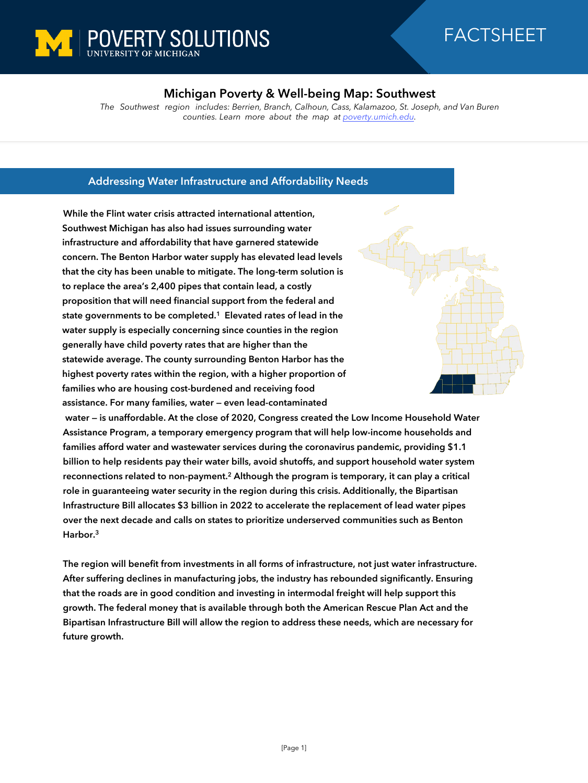

## FACTSHEET

## **Michigan Poverty & Well-being Map: Southwest**

*The Southwest region includes: Berrien, Branch, Calhoun, Cass, Kalamazoo, St. Joseph, and Van Buren counties. Learn more about the map at [poverty.umich.edu](https://poverty.umich.edu/research-funding-opportunities/data-tools/michigan-poverty-well-being-map/).*

## **Addressing Water Infrastructure and Affordability Needs**

**While the Flint water crisis attracted international attention, Southwest Michigan has also had issues surrounding water infrastructure and affordability that have garnered statewide concern. The Benton Harbor water supply has elevated lead levels that the city has been unable to mitigate. The long-term solution is to replace the area's 2,400 pipes that contain lead, a costly proposition that will need financial support from the federal and state governments to be completed.<sup>1</sup> Elevated rates of lead in the water supply is especially concerning since counties in the region generally have child poverty rates that are higher than the statewide average. The county surrounding Benton Harbor has the highest poverty rates within the region, with a higher proportion of families who are housing cost-burdened and receiving food assistance. For many families, water — even lead-contaminated** 



 **water — is unaffordable. At the close of 2020, Congress created the Low Income Household Water Assistance Program, a temporary emergency program that will help low-income households and families afford water and wastewater services during the coronavirus pandemic, providing \$1.1 billion to help residents pay their water bills, avoid shutoffs, and support household water system**  reconnections related to non-payment.<sup>2</sup> Although the program is temporary, it can play a critical **role in guaranteeing water security in the region during this crisis. Additionally, the Bipartisan Infrastructure Bill allocates \$3 billion in 2022 to accelerate the replacement of lead water pipes over the next decade and calls on states to prioritize underserved communities such as Benton Harbor.<sup>3</sup>** 

**The region will benefit from investments in all forms of infrastructure, not just water infrastructure. After suffering declines in manufacturing jobs, the industry has rebounded significantly. Ensuring that the roads are in good condition and investing in intermodal freight will help support this growth. The federal money that is available through both the American Rescue Plan Act and the Bipartisan Infrastructure Bill will allow the region to address these needs, which are necessary for future growth.**